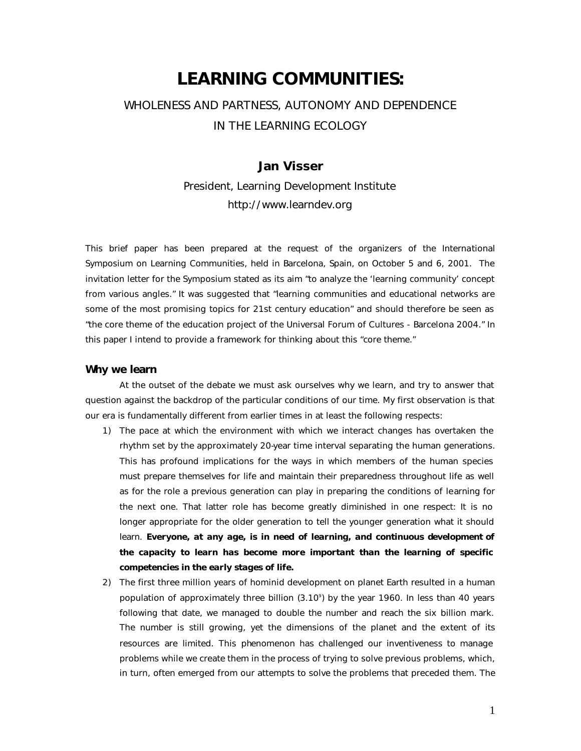# **LEARNING COMMUNITIES:**

# WHOLENESS AND PARTNESS, AUTONOMY AND DEPENDENCE IN THE LEARNING ECOLOGY

# **Jan Visser**

President, Learning Development Institute http://www.learndev.org

This brief paper has been prepared at the request of the organizers of the International Symposium on Learning Communities, held in Barcelona, Spain, on October 5 and 6, 2001. The invitation letter for the Symposium stated as its aim "to analyze the 'learning community' concept from various angles." It was suggested that "learning communities and educational networks are some of the most promising topics for 21st century education" and should therefore be seen as "the core theme of the education project of the Universal Forum of Cultures - Barcelona 2004." In this paper I intend to provide a framework for thinking about this "core theme."

#### **Why we learn**

At the outset of the debate we must ask ourselves why we learn, and try to answer that question against the backdrop of the particular conditions of our time. My first observation is that our era is fundamentally different from earlier times in at least the following respects:

- 1) The pace at which the environment with which we interact changes has overtaken the rhythm set by the approximately 20-year time interval separating the human generations. This has profound implications for the ways in which members of the human species must prepare themselves for life and maintain their preparedness throughout life as well as for the role a previous generation can play in preparing the conditions of learning for the next one. That latter role has become greatly diminished in one respect: It is no longer appropriate for the older generation to tell the younger generation what it should learn. *Everyone, at any age, is in need of learning, and continuous development of the capacity to learn has become more important than the learning of specific competencies in the early stages of life.*
- 2) The first three million years of hominid development on planet Earth resulted in a human population of approximately three billion (3.10<sup>9</sup> ) by the year 1960. In less than 40 years following that date, we managed to double the number and reach the six billion mark. The number is still growing, yet the dimensions of the planet and the extent of its resources are limited. This phenomenon has challenged our inventiveness to manage problems while we create them in the process of trying to solve previous problems, which, in turn, often emerged from our attempts to solve the problems that preceded them. The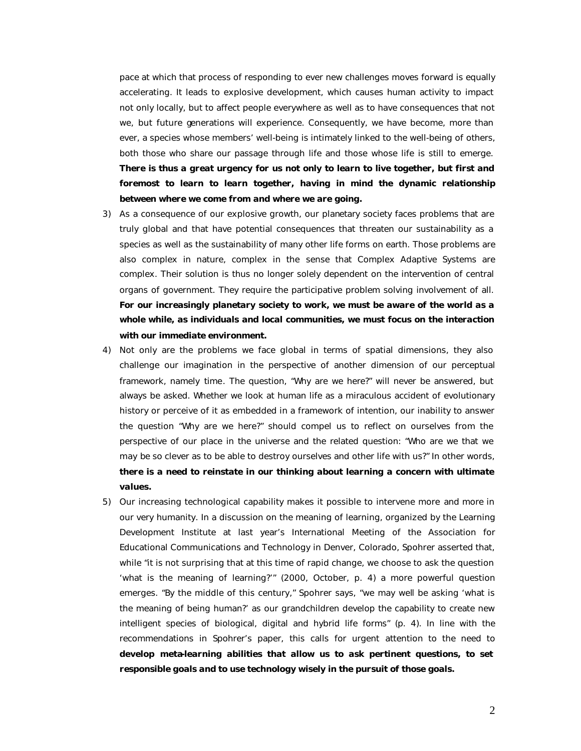pace at which that process of responding to ever new challenges moves forward is equally accelerating. It leads to explosive development, which causes human activity to impact not only locally, but to affect people everywhere as well as to have consequences that not we, but future generations will experience. Consequently, we have become, more than ever, a species whose members' well-being is intimately linked to the well-being of others, both those who share our passage through life and those whose life is still to emerge. *There is thus a great urgency for us not only to learn to live together, but first and foremost to learn to learn together, having in mind the dynamic relationship between where we come from and where we are going.*

- 3) As a consequence of our explosive growth, our planetary society faces problems that are truly global and that have potential consequences that threaten our sustainability as a species as well as the sustainability of many other life forms on earth. Those problems are also complex in nature, complex in the sense that Complex Adaptive Systems are complex. Their solution is thus no longer solely dependent on the intervention of central organs of government. They require the participative problem solving involvement of all. *For our increasingly planetary society to work, we must be aware of the world as a whole while, as individuals and local communities, we must focus on the interaction with our immediate environment.*
- 4) Not only are the problems we face global in terms of spatial dimensions, they also challenge our imagination in the perspective of another dimension of our perceptual framework, namely *time*. The question, "Why are we here?" will never be answered, but always be asked. Whether we look at human life as a miraculous accident of evolutionary history or perceive of it as embedded in a framework of intention, our inability to answer the question "Why are we here?" should compel us to reflect on ourselves from the perspective of our place in the universe and the related question: "Who are we that we may be so clever as to be able to destroy ourselves and other life with us?" In other words, *there is a need to reinstate in our thinking about learning a concern with ultimate values.*
- 5) Our increasing technological capability makes it possible to intervene more and more in our very humanity. In a discussion on the meaning of learning, organized by the Learning Development Institute at last year's International Meeting of the Association for Educational Communications and Technology in Denver, Colorado, Spohrer asserted that, while "it is not surprising that at this time of rapid change, we choose to ask the question 'what is the meaning of learning?'" (2000, October, p. 4) a more powerful question emerges. "By the middle of this century," Spohrer says, "we may well be asking 'what is the meaning of being human?' as our grandchildren develop the capability to create new intelligent species of biological, digital and hybrid life forms" (p. 4). In line with the recommendations in Spohrer's paper, this calls for urgent attention to the need to *develop meta-learning abilities that allow us to ask pertinent questions, to set responsible goals and to use technology wisely in the pursuit of those goals.*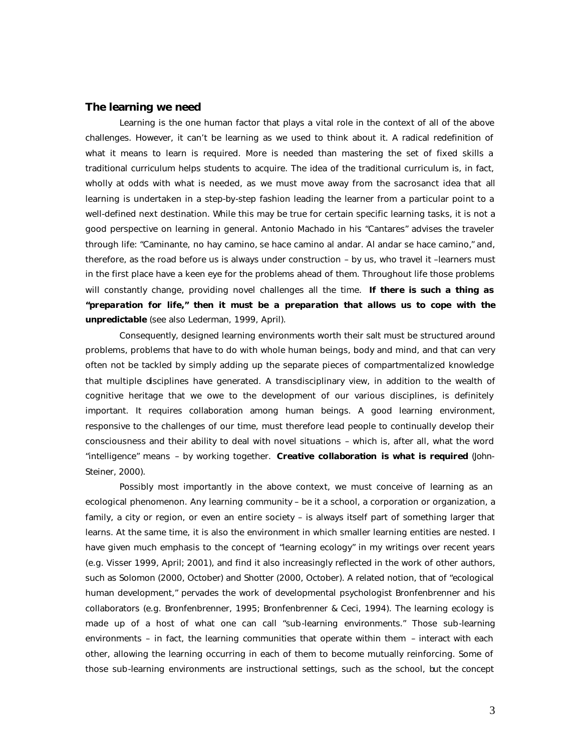#### **The learning we need**

Learning is the one human factor that plays a vital role in the context of all of the above challenges. However, it can't be learning as we used to think about it. A radical redefinition of what it means to learn is required. More is needed than mastering the set of fixed skills a traditional curriculum helps students to acquire. The idea of the traditional curriculum is, in fact, wholly at odds with what is needed, as we must move away from the sacrosanct idea that *all* learning is undertaken in a step-by-step fashion leading the learner from a particular point to a well-defined next destination. While this may be true for certain specific learning tasks, it is not a good perspective on learning in general. Antonio Machado in his "Cantares" advises the traveler through life: "Caminante, no hay camino, se hace camino al andar. Al andar se hace camino," and, therefore, as the road before us is always under construction – by us, who travel it –learners must in the first place have a keen eye for the problems ahead of them. Throughout life those problems will constantly change, providing novel challenges all the time. *If there is such a thing as "preparation for life," then it must be a preparation that allows us to cope with the unpredictable* (see also Lederman, 1999, April).

Consequently, designed learning environments worth their salt must be structured around problems, problems that have to do with whole human beings, body and mind, and that can very often not be tackled by simply adding up the separate pieces of compartmentalized knowledge that multiple disciplines have generated. A transdisciplinary view, in addition to the wealth of cognitive heritage that we owe to the development of our various disciplines, is definitely important. It requires collaboration among human beings. A good learning environment, responsive to the challenges of our time, must therefore lead people to continually develop their consciousness and their ability to deal with novel situations – which is, after all, what the word "intelligence" means – by working together. *Creative collaboration is what is required* (John-Steiner, 2000).

Possibly most importantly in the above context, we must conceive of learning as an ecological phenomenon. Any learning community – be it a school, a corporation or organization, a family, a city or region, or even an entire society – is always itself part of something larger that learns. At the same time, it is also the environment in which smaller learning entities are nested. I have given much emphasis to the concept of "learning ecology" in my writings over recent years (e.g. Visser 1999, April; 2001), and find it also increasingly reflected in the work of other authors, such as Solomon (2000, October) and Shotter (2000, October). A related notion, that of "ecological human development," pervades the work of developmental psychologist Bronfenbrenner and his collaborators (e.g. Bronfenbrenner, 1995; Bronfenbrenner & Ceci, 1994). The learning ecology is made up of a host of what one can call "sub-learning environments." Those sub-learning environments – in fact, the learning communities that operate within them – interact with each other, allowing the learning occurring in each of them to become mutually reinforcing. Some of those sub-learning environments are instructional settings, such as the school, but the concept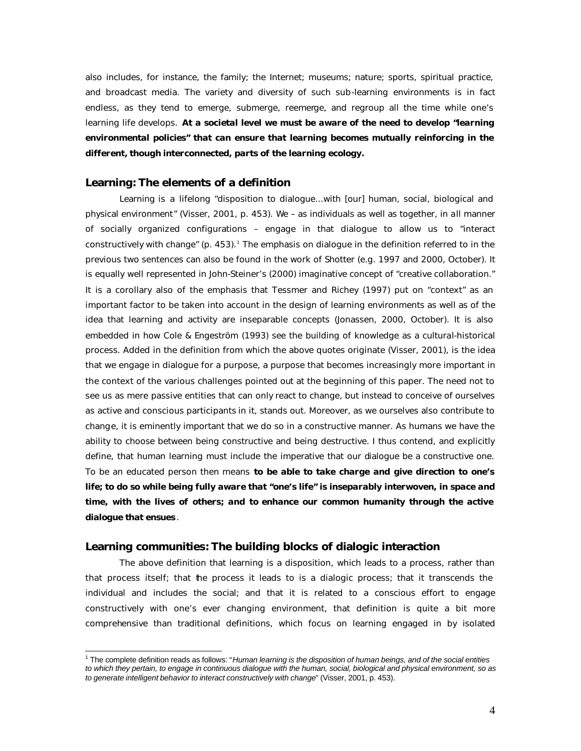also includes, for instance, the family; the Internet; museums; nature; sports, spiritual practice, and broadcast media. The variety and diversity of such sub-learning environments is in fact endless, as they tend to emerge, submerge, reemerge, and regroup all the time while one's learning life develops. *At a societal level we must be aware of the need to develop "learning environmental policies" that can ensure that learning becomes mutually reinforcing in the different, though interconnected, parts of the learning ecology.*

## **Learning: The elements of a definition**

 $\overline{a}$ 

Learning is a lifelong "disposition to dialogue...with [our] human, social, biological and physical environment" (Visser, 2001, p. 453). We – as individuals as well as together, in all manner of socially organized configurations – engage in that dialogue to allow us to "interact constructively with change" (p. 453). The emphasis on dialogue in the definition referred to in the previous two sentences can also be found in the work of Shotter (e.g. 1997 and 2000, October). It is equally well represented in John-Steiner's (2000) imaginative concept of "creative collaboration." It is a corollary also of the emphasis that Tessmer and Richey (1997) put on "context" as an important factor to be taken into account in the design of learning environments as well as of the idea that learning and activity are inseparable concepts (Jonassen, 2000, October). It is also embedded in how Cole & Engeström (1993) see the building of knowledge as a cultural-historical process. Added in the definition from which the above quotes originate (Visser, 2001), is the idea that we engage in dialogue for a purpose, a purpose that becomes increasingly more important in the context of the various challenges pointed out at the beginning of this paper. The need not to see us as mere passive entities that can only *react* to change, but instead to conceive of ourselves as *active and conscious participants* in it, stands out. Moreover, as we ourselves also contribute to change, it is eminently important that we do so in a constructive manner. As humans we have the ability to choose between being constructive and being destructive. I thus contend, and explicitly define, that human learning must include the imperative that our dialogue be a constructive one. To be an educated person then means *to be able to take charge and give direction to one's life; to do so while being fully aware that "one's life" is inseparably interwoven, in space and time, with the lives of others; and to enhance our common humanity through the active dialogue that ensues* .

### **Learning communities: The building blocks of dialogic interaction**

The above definition that learning is a disposition, which leads to a process, rather than that process itself; that the process it leads to is a dialogic process; that it transcends the individual and includes the social; and that it is related to a conscious effort to engage constructively with one's ever changing environment, that definition is quite a bit more comprehensive than traditional definitions, which focus on learning engaged in by isolated

<sup>&</sup>lt;sup>1</sup> The complete definition reads as follows: "Human learning is the disposition of human beings, and of the social entities *to which they pertain, to engage in continuous dialogue with the human, social, biological and physical environment, so as to generate intelligent behavior to interact constructively with change*" (Visser, 2001, p. 453).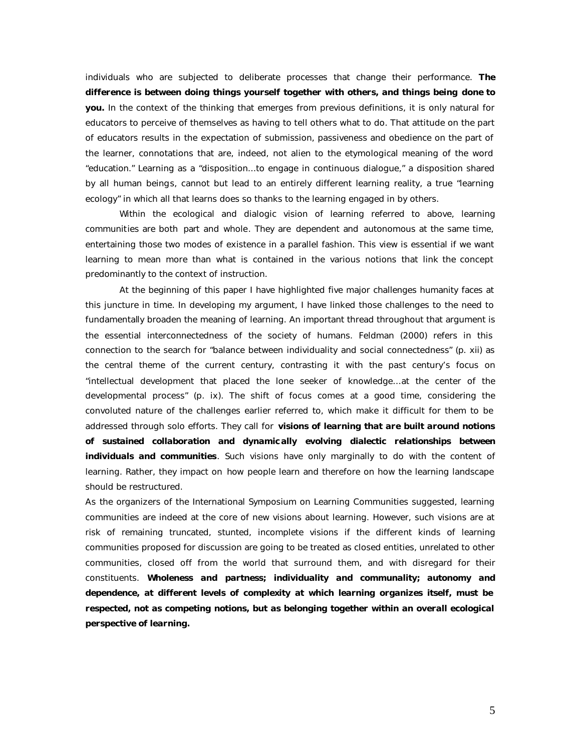individuals who are subjected to deliberate processes that change their performance. *The difference is between doing things yourself together with others, and things being done to you.* In the context of the thinking that emerges from previous definitions, it is only natural for educators to perceive of themselves as having to tell others what to do. That attitude on the part of educators results in the expectation of submission, passiveness and obedience on the part of the learner, connotations that are, indeed, not alien to the etymological meaning of the word "education." Learning as a "disposition...to engage in continuous dialogue," a disposition shared by all human beings, cannot but lead to an entirely different learning reality, a true "learning ecology" in which all that learns does so thanks to the learning engaged in by others.

Within the ecological and dialogic vision of learning referred to above, learning communities are both *part* and *whole*. They are *dependent* and *autonomous* at the same time, entertaining those two modes of existence in a parallel fashion. This view is essential if we want learning to mean more than what is contained in the various notions that link the concept predominantly to the context of instruction.

At the beginning of this paper I have highlighted five major challenges humanity faces at this juncture in time. In developing my argument, I have linked those challenges to the need to fundamentally broaden the meaning of learning. An important thread throughout that argument is the essential interconnectedness of the society of humans. Feldman (2000) refers in this connection to the search for "balance between individuality and social connectedness" (p. xii) as the central theme of the current century, contrasting it with the past century's focus on "intellectual development that placed the lone seeker of knowledge…at the center of the developmental process" (p. ix). The shift of focus comes at a good time, considering the convoluted nature of the challenges earlier referred to, which make it difficult for them to be addressed through solo efforts. They call for *visions of learning that are built around notions of sustained collaboration and dynamic ally evolving dialectic relationships between individuals and communities*. Such visions have only marginally to do with the content of learning. Rather, they impact on *how* people learn and therefore on how the learning landscape should be restructured.

As the organizers of the International Symposium on Learning Communities suggested, learning communities are indeed at the core of new visions about learning. However, such visions are at risk of remaining truncated, stunted, incomplete visions if the different kinds of learning communities proposed for discussion are going to be treated as closed entities, unrelated to other communities, closed off from the world that surround them, and with disregard for their constituents. *Wholeness and partness; individuality and communality; autonomy and dependence, at different levels of complexity at which learning organizes itself, must be respected, not as competing notions, but as belonging together within an overall ecological perspective of learning.*